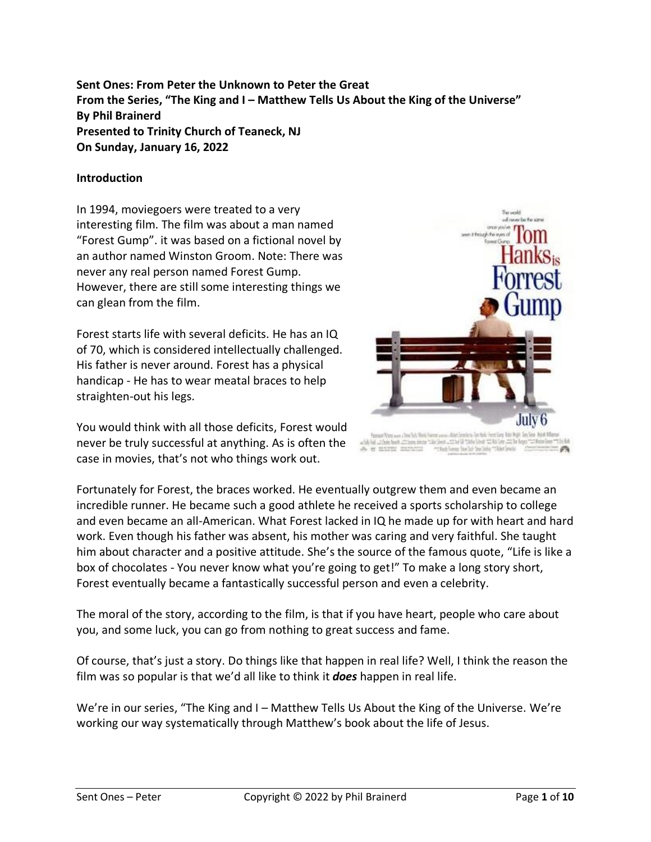**Sent Ones: From Peter the Unknown to Peter the Great From the Series, "The King and I – Matthew Tells Us About the King of the Universe" By Phil Brainerd Presented to Trinity Church of Teaneck, NJ On Sunday, January 16, 2022**

#### **Introduction**

In 1994, moviegoers were treated to a very interesting film. The film was about a man named "Forest Gump". it was based on a fictional novel by an author named Winston Groom. Note: There was never any real person named Forest Gump. However, there are still some interesting things we can glean from the film.

Forest starts life with several deficits. He has an IQ of 70, which is considered intellectually challenged. His father is never around. Forest has a physical handicap - He has to wear meatal braces to help straighten-out his legs.



Bu world

on though to ever of

You would think with all those deficits, Forest would never be truly successful at anything. As is often the case in movies, that's not who things work out.

Flohen www.albox Tech Tech Fr the Gen. which this blue to had

Fortunately for Forest, the braces worked. He eventually outgrew them and even became an incredible runner. He became such a good athlete he received a sports scholarship to college and even became an all-American. What Forest lacked in IQ he made up for with heart and hard work. Even though his father was absent, his mother was caring and very faithful. She taught him about character and a positive attitude. She's the source of the famous quote, "Life is like a box of chocolates - You never know what you're going to get!" To make a long story short, Forest eventually became a fantastically successful person and even a celebrity.

The moral of the story, according to the film, is that if you have heart, people who care about you, and some luck, you can go from nothing to great success and fame.

Of course, that's just a story. Do things like that happen in real life? Well, I think the reason the film was so popular is that we'd all like to think it *does* happen in real life.

We're in our series, "The King and I – Matthew Tells Us About the King of the Universe. We're working our way systematically through Matthew's book about the life of Jesus.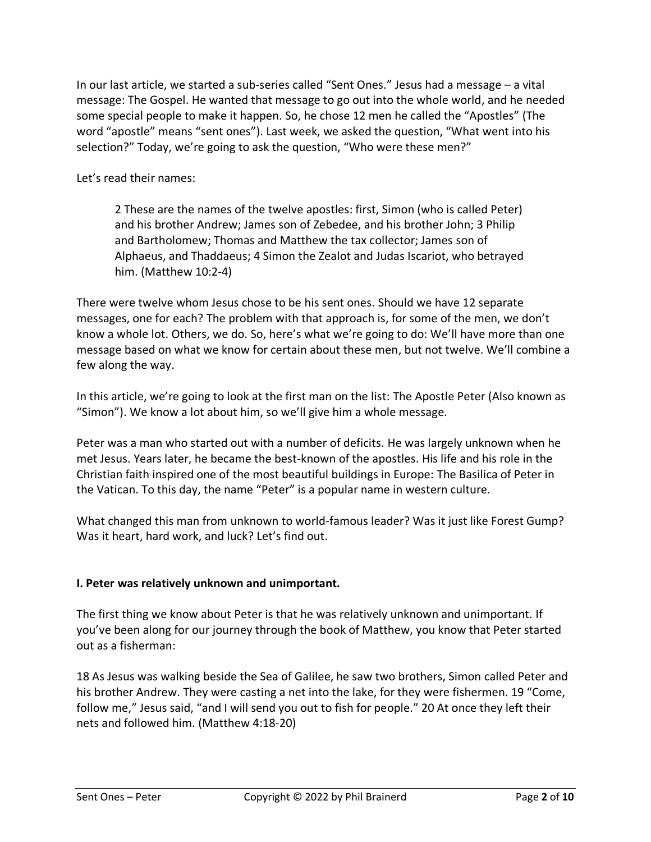In our last article, we started a sub-series called "Sent Ones." Jesus had a message – a vital message: The Gospel. He wanted that message to go out into the whole world, and he needed some special people to make it happen. So, he chose 12 men he called the "Apostles" (The word "apostle" means "sent ones"). Last week, we asked the question, "What went into his selection?" Today, we're going to ask the question, "Who were these men?"

Let's read their names:

2 These are the names of the twelve apostles: first, Simon (who is called Peter) and his brother Andrew; James son of Zebedee, and his brother John; 3 Philip and Bartholomew; Thomas and Matthew the tax collector; James son of Alphaeus, and Thaddaeus; 4 Simon the Zealot and Judas Iscariot, who betrayed him. (Matthew 10:2-4)

There were twelve whom Jesus chose to be his sent ones. Should we have 12 separate messages, one for each? The problem with that approach is, for some of the men, we don't know a whole lot. Others, we do. So, here's what we're going to do: We'll have more than one message based on what we know for certain about these men, but not twelve. We'll combine a few along the way.

In this article, we're going to look at the first man on the list: The Apostle Peter (Also known as "Simon"). We know a lot about him, so we'll give him a whole message.

Peter was a man who started out with a number of deficits. He was largely unknown when he met Jesus. Years later, he became the best-known of the apostles. His life and his role in the Christian faith inspired one of the most beautiful buildings in Europe: The Basilica of Peter in the Vatican. To this day, the name "Peter" is a popular name in western culture.

What changed this man from unknown to world-famous leader? Was it just like Forest Gump? Was it heart, hard work, and luck? Let's find out.

## **I. Peter was relatively unknown and unimportant.**

The first thing we know about Peter is that he was relatively unknown and unimportant. If you've been along for our journey through the book of Matthew, you know that Peter started out as a fisherman:

18 As Jesus was walking beside the Sea of Galilee, he saw two brothers, Simon called Peter and his brother Andrew. They were casting a net into the lake, for they were fishermen. 19 "Come, follow me," Jesus said, "and I will send you out to fish for people." 20 At once they left their nets and followed him. (Matthew 4:18-20)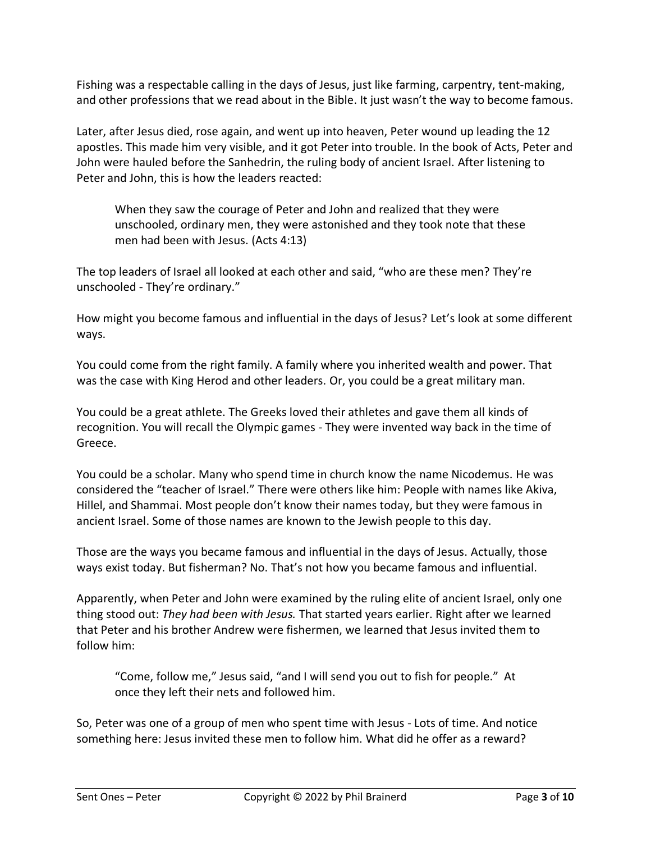Fishing was a respectable calling in the days of Jesus, just like farming, carpentry, tent-making, and other professions that we read about in the Bible. It just wasn't the way to become famous.

Later, after Jesus died, rose again, and went up into heaven, Peter wound up leading the 12 apostles. This made him very visible, and it got Peter into trouble. In the book of Acts, Peter and John were hauled before the Sanhedrin, the ruling body of ancient Israel. After listening to Peter and John, this is how the leaders reacted:

When they saw the courage of Peter and John and realized that they were unschooled, ordinary men, they were astonished and they took note that these men had been with Jesus. (Acts 4:13)

The top leaders of Israel all looked at each other and said, "who are these men? They're unschooled - They're ordinary."

How might you become famous and influential in the days of Jesus? Let's look at some different ways.

You could come from the right family. A family where you inherited wealth and power. That was the case with King Herod and other leaders. Or, you could be a great military man.

You could be a great athlete. The Greeks loved their athletes and gave them all kinds of recognition. You will recall the Olympic games - They were invented way back in the time of Greece.

You could be a scholar. Many who spend time in church know the name Nicodemus. He was considered the "teacher of Israel." There were others like him: People with names like Akiva, Hillel, and Shammai. Most people don't know their names today, but they were famous in ancient Israel. Some of those names are known to the Jewish people to this day.

Those are the ways you became famous and influential in the days of Jesus. Actually, those ways exist today. But fisherman? No. That's not how you became famous and influential.

Apparently, when Peter and John were examined by the ruling elite of ancient Israel, only one thing stood out: *They had been with Jesus.* That started years earlier. Right after we learned that Peter and his brother Andrew were fishermen, we learned that Jesus invited them to follow him:

"Come, follow me," Jesus said, "and I will send you out to fish for people." At once they left their nets and followed him.

So, Peter was one of a group of men who spent time with Jesus - Lots of time. And notice something here: Jesus invited these men to follow him. What did he offer as a reward?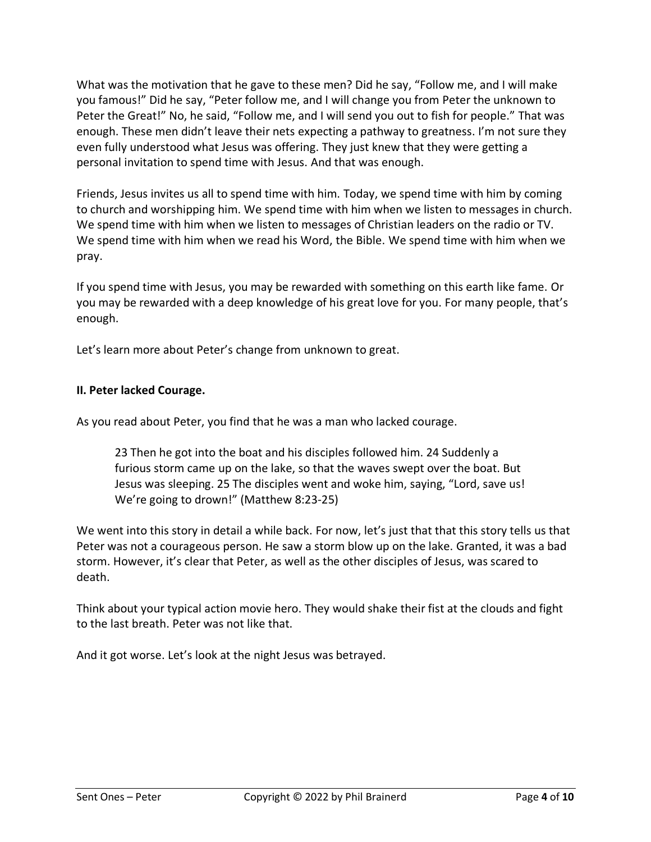What was the motivation that he gave to these men? Did he say, "Follow me, and I will make you famous!" Did he say, "Peter follow me, and I will change you from Peter the unknown to Peter the Great!" No, he said, "Follow me, and I will send you out to fish for people." That was enough. These men didn't leave their nets expecting a pathway to greatness. I'm not sure they even fully understood what Jesus was offering. They just knew that they were getting a personal invitation to spend time with Jesus. And that was enough.

Friends, Jesus invites us all to spend time with him. Today, we spend time with him by coming to church and worshipping him. We spend time with him when we listen to messages in church. We spend time with him when we listen to messages of Christian leaders on the radio or TV. We spend time with him when we read his Word, the Bible. We spend time with him when we pray.

If you spend time with Jesus, you may be rewarded with something on this earth like fame. Or you may be rewarded with a deep knowledge of his great love for you. For many people, that's enough.

Let's learn more about Peter's change from unknown to great.

## **II. Peter lacked Courage.**

As you read about Peter, you find that he was a man who lacked courage.

23 Then he got into the boat and his disciples followed him. 24 Suddenly a furious storm came up on the lake, so that the waves swept over the boat. But Jesus was sleeping. 25 The disciples went and woke him, saying, "Lord, save us! We're going to drown!" (Matthew 8:23-25)

We went into this story in detail a while back. For now, let's just that that this story tells us that Peter was not a courageous person. He saw a storm blow up on the lake. Granted, it was a bad storm. However, it's clear that Peter, as well as the other disciples of Jesus, was scared to death.

Think about your typical action movie hero. They would shake their fist at the clouds and fight to the last breath. Peter was not like that.

And it got worse. Let's look at the night Jesus was betrayed.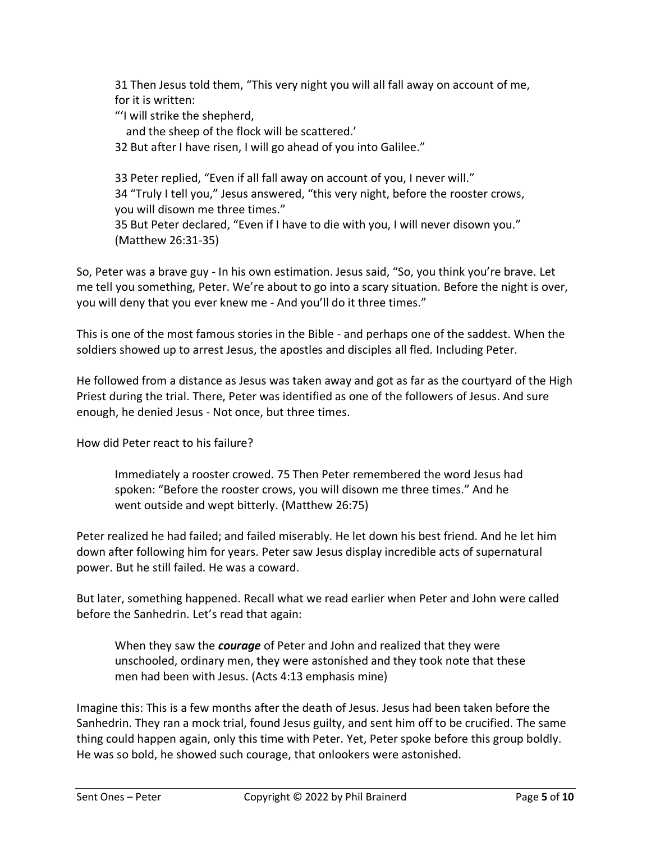31 Then Jesus told them, "This very night you will all fall away on account of me, for it is written:

"'I will strike the shepherd,

and the sheep of the flock will be scattered.'

32 But after I have risen, I will go ahead of you into Galilee."

33 Peter replied, "Even if all fall away on account of you, I never will." 34 "Truly I tell you," Jesus answered, "this very night, before the rooster crows, you will disown me three times." 35 But Peter declared, "Even if I have to die with you, I will never disown you." (Matthew 26:31-35)

So, Peter was a brave guy - In his own estimation. Jesus said, "So, you think you're brave. Let me tell you something, Peter. We're about to go into a scary situation. Before the night is over, you will deny that you ever knew me - And you'll do it three times."

This is one of the most famous stories in the Bible - and perhaps one of the saddest. When the soldiers showed up to arrest Jesus, the apostles and disciples all fled. Including Peter.

He followed from a distance as Jesus was taken away and got as far as the courtyard of the High Priest during the trial. There, Peter was identified as one of the followers of Jesus. And sure enough, he denied Jesus - Not once, but three times.

How did Peter react to his failure?

Immediately a rooster crowed. 75 Then Peter remembered the word Jesus had spoken: "Before the rooster crows, you will disown me three times." And he went outside and wept bitterly. (Matthew 26:75)

Peter realized he had failed; and failed miserably. He let down his best friend. And he let him down after following him for years. Peter saw Jesus display incredible acts of supernatural power. But he still failed. He was a coward.

But later, something happened. Recall what we read earlier when Peter and John were called before the Sanhedrin. Let's read that again:

When they saw the *courage* of Peter and John and realized that they were unschooled, ordinary men, they were astonished and they took note that these men had been with Jesus. (Acts 4:13 emphasis mine)

Imagine this: This is a few months after the death of Jesus. Jesus had been taken before the Sanhedrin. They ran a mock trial, found Jesus guilty, and sent him off to be crucified. The same thing could happen again, only this time with Peter. Yet, Peter spoke before this group boldly. He was so bold, he showed such courage, that onlookers were astonished.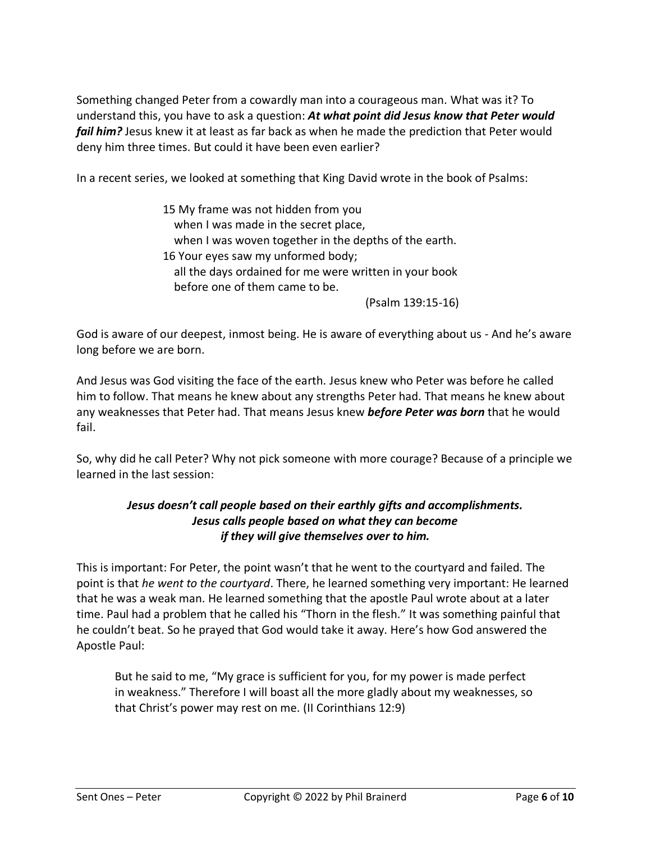Something changed Peter from a cowardly man into a courageous man. What was it? To understand this, you have to ask a question: *At what point did Jesus know that Peter would fail him?* Jesus knew it at least as far back as when he made the prediction that Peter would deny him three times. But could it have been even earlier?

In a recent series, we looked at something that King David wrote in the book of Psalms:

15 My frame was not hidden from you when I was made in the secret place, when I was woven together in the depths of the earth. 16 Your eyes saw my unformed body; all the days ordained for me were written in your book before one of them came to be.

(Psalm 139:15-16)

God is aware of our deepest, inmost being. He is aware of everything about us - And he's aware long before we are born.

And Jesus was God visiting the face of the earth. Jesus knew who Peter was before he called him to follow. That means he knew about any strengths Peter had. That means he knew about any weaknesses that Peter had. That means Jesus knew *before Peter was born* that he would fail.

So, why did he call Peter? Why not pick someone with more courage? Because of a principle we learned in the last session:

# *Jesus doesn't call people based on their earthly gifts and accomplishments. Jesus calls people based on what they can become if they will give themselves over to him.*

This is important: For Peter, the point wasn't that he went to the courtyard and failed. The point is that *he went to the courtyard*. There, he learned something very important: He learned that he was a weak man. He learned something that the apostle Paul wrote about at a later time. Paul had a problem that he called his "Thorn in the flesh." It was something painful that he couldn't beat. So he prayed that God would take it away. Here's how God answered the Apostle Paul:

But he said to me, "My grace is sufficient for you, for my power is made perfect in weakness." Therefore I will boast all the more gladly about my weaknesses, so that Christ's power may rest on me. (II Corinthians 12:9)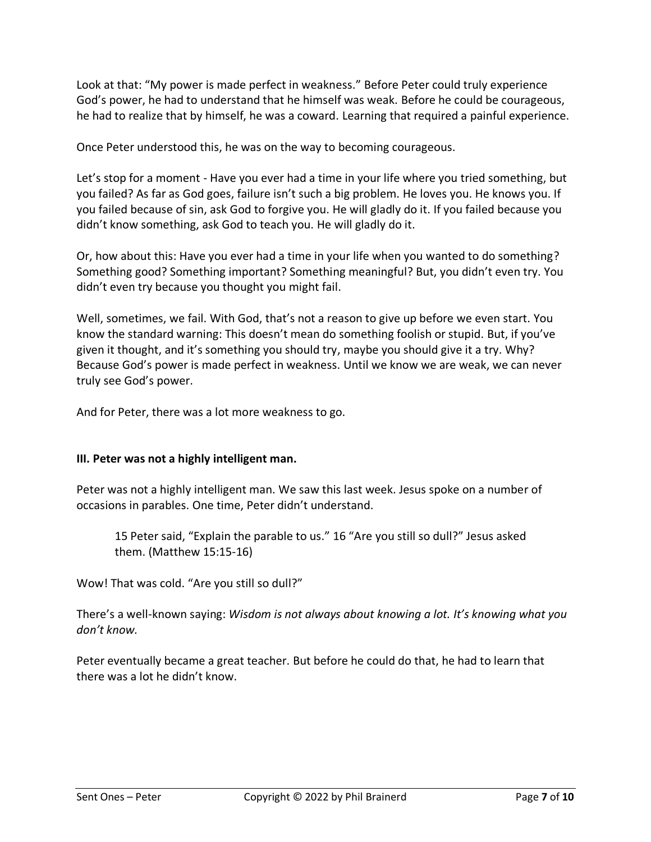Look at that: "My power is made perfect in weakness." Before Peter could truly experience God's power, he had to understand that he himself was weak. Before he could be courageous, he had to realize that by himself, he was a coward. Learning that required a painful experience.

Once Peter understood this, he was on the way to becoming courageous.

Let's stop for a moment - Have you ever had a time in your life where you tried something, but you failed? As far as God goes, failure isn't such a big problem. He loves you. He knows you. If you failed because of sin, ask God to forgive you. He will gladly do it. If you failed because you didn't know something, ask God to teach you. He will gladly do it.

Or, how about this: Have you ever had a time in your life when you wanted to do something? Something good? Something important? Something meaningful? But, you didn't even try. You didn't even try because you thought you might fail.

Well, sometimes, we fail. With God, that's not a reason to give up before we even start. You know the standard warning: This doesn't mean do something foolish or stupid. But, if you've given it thought, and it's something you should try, maybe you should give it a try. Why? Because God's power is made perfect in weakness. Until we know we are weak, we can never truly see God's power.

And for Peter, there was a lot more weakness to go.

#### **III. Peter was not a highly intelligent man.**

Peter was not a highly intelligent man. We saw this last week. Jesus spoke on a number of occasions in parables. One time, Peter didn't understand.

15 Peter said, "Explain the parable to us." 16 "Are you still so dull?" Jesus asked them. (Matthew 15:15-16)

Wow! That was cold. "Are you still so dull?"

There's a well-known saying: *Wisdom is not always about knowing a lot. It's knowing what you don't know.*

Peter eventually became a great teacher. But before he could do that, he had to learn that there was a lot he didn't know.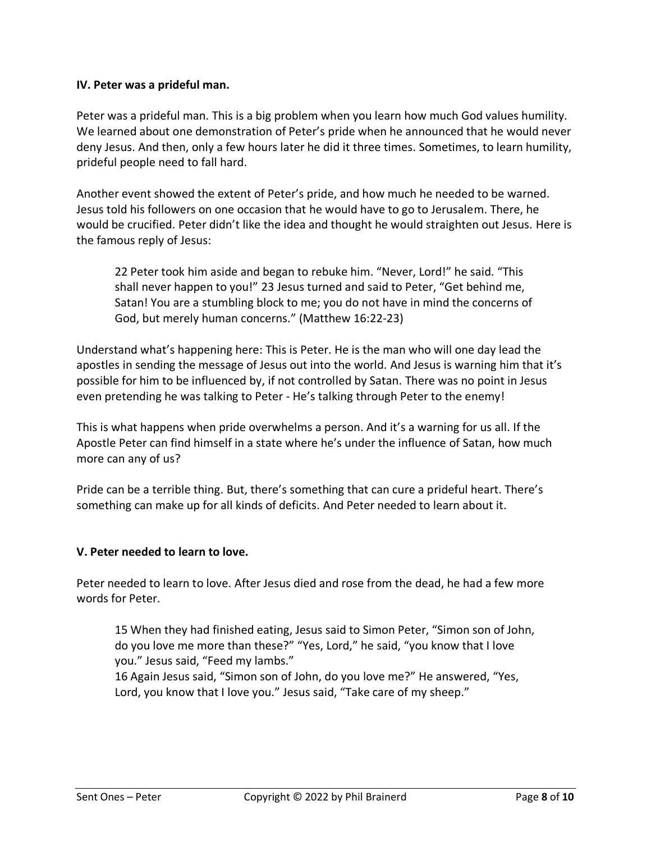### **IV. Peter was a prideful man.**

Peter was a prideful man. This is a big problem when you learn how much God values humility. We learned about one demonstration of Peter's pride when he announced that he would never deny Jesus. And then, only a few hours later he did it three times. Sometimes, to learn humility, prideful people need to fall hard.

Another event showed the extent of Peter's pride, and how much he needed to be warned. Jesus told his followers on one occasion that he would have to go to Jerusalem. There, he would be crucified. Peter didn't like the idea and thought he would straighten out Jesus. Here is the famous reply of Jesus:

22 Peter took him aside and began to rebuke him. "Never, Lord!" he said. "This shall never happen to you!" 23 Jesus turned and said to Peter, "Get behind me, Satan! You are a stumbling block to me; you do not have in mind the concerns of God, but merely human concerns." (Matthew 16:22-23)

Understand what's happening here: This is Peter. He is the man who will one day lead the apostles in sending the message of Jesus out into the world. And Jesus is warning him that it's possible for him to be influenced by, if not controlled by Satan. There was no point in Jesus even pretending he was talking to Peter - He's talking through Peter to the enemy!

This is what happens when pride overwhelms a person. And it's a warning for us all. If the Apostle Peter can find himself in a state where he's under the influence of Satan, how much more can any of us?

Pride can be a terrible thing. But, there's something that can cure a prideful heart. There's something can make up for all kinds of deficits. And Peter needed to learn about it.

#### **V. Peter needed to learn to love.**

Peter needed to learn to love. After Jesus died and rose from the dead, he had a few more words for Peter.

15 When they had finished eating, Jesus said to Simon Peter, "Simon son of John, do you love me more than these?" "Yes, Lord," he said, "you know that I love you." Jesus said, "Feed my lambs."

16 Again Jesus said, "Simon son of John, do you love me?" He answered, "Yes, Lord, you know that I love you." Jesus said, "Take care of my sheep."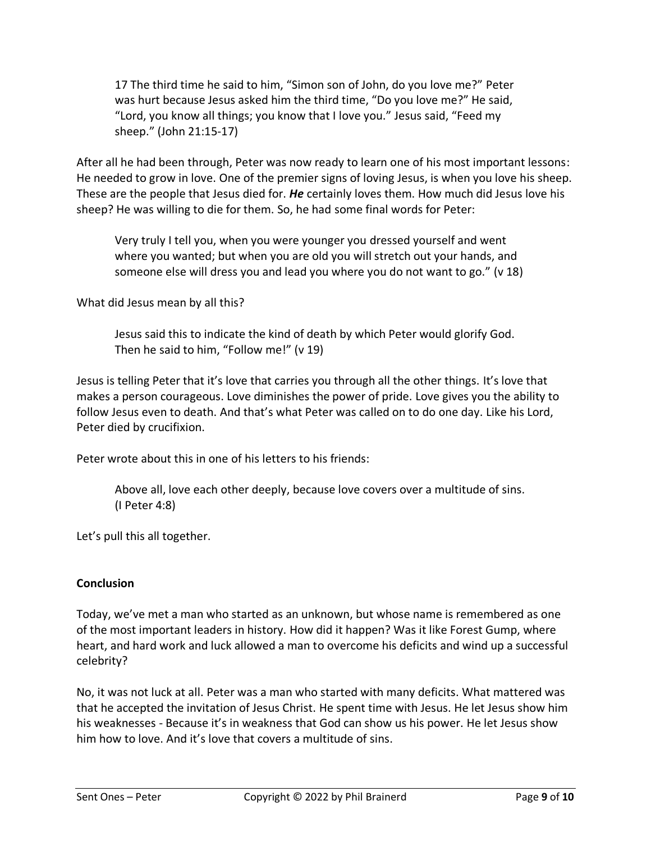17 The third time he said to him, "Simon son of John, do you love me?" Peter was hurt because Jesus asked him the third time, "Do you love me?" He said, "Lord, you know all things; you know that I love you." Jesus said, "Feed my sheep." (John 21:15-17)

After all he had been through, Peter was now ready to learn one of his most important lessons: He needed to grow in love. One of the premier signs of loving Jesus, is when you love his sheep. These are the people that Jesus died for. *He* certainly loves them. How much did Jesus love his sheep? He was willing to die for them. So, he had some final words for Peter:

Very truly I tell you, when you were younger you dressed yourself and went where you wanted; but when you are old you will stretch out your hands, and someone else will dress you and lead you where you do not want to go." (v 18)

What did Jesus mean by all this?

Jesus said this to indicate the kind of death by which Peter would glorify God. Then he said to him, "Follow me!" (v 19)

Jesus is telling Peter that it's love that carries you through all the other things. It's love that makes a person courageous. Love diminishes the power of pride. Love gives you the ability to follow Jesus even to death. And that's what Peter was called on to do one day. Like his Lord, Peter died by crucifixion.

Peter wrote about this in one of his letters to his friends:

Above all, love each other deeply, because love covers over a multitude of sins. (I Peter 4:8)

Let's pull this all together.

#### **Conclusion**

Today, we've met a man who started as an unknown, but whose name is remembered as one of the most important leaders in history. How did it happen? Was it like Forest Gump, where heart, and hard work and luck allowed a man to overcome his deficits and wind up a successful celebrity?

No, it was not luck at all. Peter was a man who started with many deficits. What mattered was that he accepted the invitation of Jesus Christ. He spent time with Jesus. He let Jesus show him his weaknesses - Because it's in weakness that God can show us his power. He let Jesus show him how to love. And it's love that covers a multitude of sins.